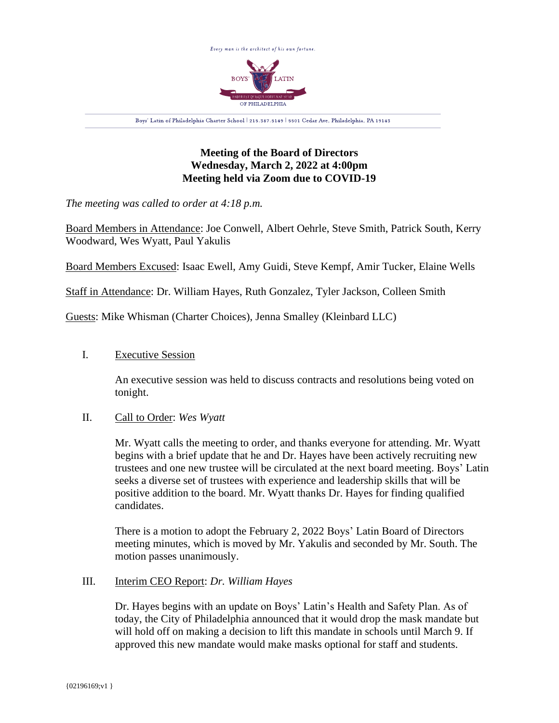

# **Meeting of the Board of Directors Wednesday, March 2, 2022 at 4:00pm Meeting held via Zoom due to COVID-19**

*The meeting was called to order at 4:18 p.m.*

Board Members in Attendance: Joe Conwell, Albert Oehrle, Steve Smith, Patrick South, Kerry Woodward, Wes Wyatt, Paul Yakulis

Board Members Excused: Isaac Ewell, Amy Guidi, Steve Kempf, Amir Tucker, Elaine Wells

Staff in Attendance: Dr. William Hayes, Ruth Gonzalez, Tyler Jackson, Colleen Smith

Guests: Mike Whisman (Charter Choices), Jenna Smalley (Kleinbard LLC)

### I. Executive Session

An executive session was held to discuss contracts and resolutions being voted on tonight.

### II. Call to Order: *Wes Wyatt*

Mr. Wyatt calls the meeting to order, and thanks everyone for attending. Mr. Wyatt begins with a brief update that he and Dr. Hayes have been actively recruiting new trustees and one new trustee will be circulated at the next board meeting. Boys' Latin seeks a diverse set of trustees with experience and leadership skills that will be positive addition to the board. Mr. Wyatt thanks Dr. Hayes for finding qualified candidates.

There is a motion to adopt the February 2, 2022 Boys' Latin Board of Directors meeting minutes, which is moved by Mr. Yakulis and seconded by Mr. South. The motion passes unanimously.

### III. Interim CEO Report: *Dr. William Hayes*

Dr. Hayes begins with an update on Boys' Latin's Health and Safety Plan. As of today, the City of Philadelphia announced that it would drop the mask mandate but will hold off on making a decision to lift this mandate in schools until March 9. If approved this new mandate would make masks optional for staff and students.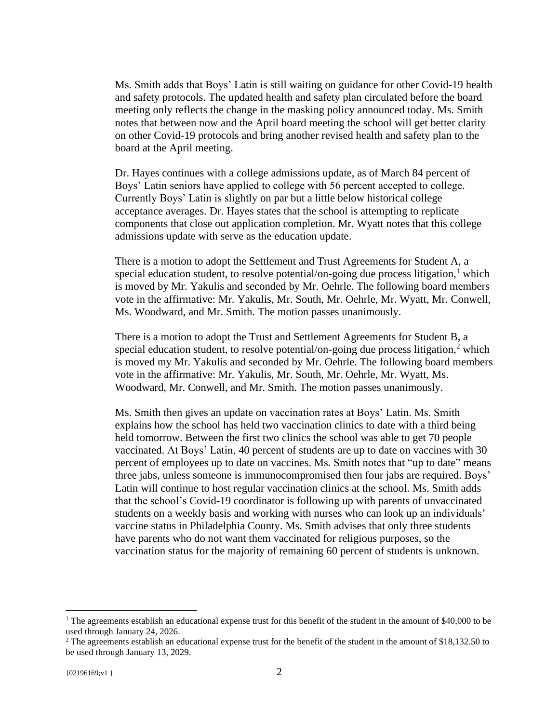Ms. Smith adds that Boys' Latin is still waiting on guidance for other Covid-19 health and safety protocols. The updated health and safety plan circulated before the board meeting only reflects the change in the masking policy announced today. Ms. Smith notes that between now and the April board meeting the school will get better clarity on other Covid-19 protocols and bring another revised health and safety plan to the board at the April meeting.

Dr. Hayes continues with a college admissions update, as of March 84 percent of Boys' Latin seniors have applied to college with 56 percent accepted to college. Currently Boys' Latin is slightly on par but a little below historical college acceptance averages. Dr. Hayes states that the school is attempting to replicate components that close out application completion. Mr. Wyatt notes that this college admissions update with serve as the education update.

There is a motion to adopt the Settlement and Trust Agreements for Student A, a special education student, to resolve potential/on-going due process litigation,<sup>1</sup> which is moved by Mr. Yakulis and seconded by Mr. Oehrle. The following board members vote in the affirmative: Mr. Yakulis, Mr. South, Mr. Oehrle, Mr. Wyatt, Mr. Conwell, Ms. Woodward, and Mr. Smith. The motion passes unanimously.

There is a motion to adopt the Trust and Settlement Agreements for Student B, a special education student, to resolve potential/on-going due process litigation, $<sup>2</sup>$  which</sup> is moved my Mr. Yakulis and seconded by Mr. Oehrle. The following board members vote in the affirmative: Mr. Yakulis, Mr. South, Mr. Oehrle, Mr. Wyatt, Ms. Woodward, Mr. Conwell, and Mr. Smith. The motion passes unanimously.

Ms. Smith then gives an update on vaccination rates at Boys' Latin. Ms. Smith explains how the school has held two vaccination clinics to date with a third being held tomorrow. Between the first two clinics the school was able to get 70 people vaccinated. At Boys' Latin, 40 percent of students are up to date on vaccines with 30 percent of employees up to date on vaccines. Ms. Smith notes that "up to date" means three jabs, unless someone is immunocompromised then four jabs are required. Boys' Latin will continue to host regular vaccination clinics at the school. Ms. Smith adds that the school's Covid-19 coordinator is following up with parents of unvaccinated students on a weekly basis and working with nurses who can look up an individuals' vaccine status in Philadelphia County. Ms. Smith advises that only three students have parents who do not want them vaccinated for religious purposes, so the vaccination status for the majority of remaining 60 percent of students is unknown.

<sup>&</sup>lt;sup>1</sup> The agreements establish an educational expense trust for this benefit of the student in the amount of \$40,000 to be used through January 24, 2026.

<sup>&</sup>lt;sup>2</sup> The agreements establish an educational expense trust for the benefit of the student in the amount of \$18,132.50 to be used through January 13, 2029.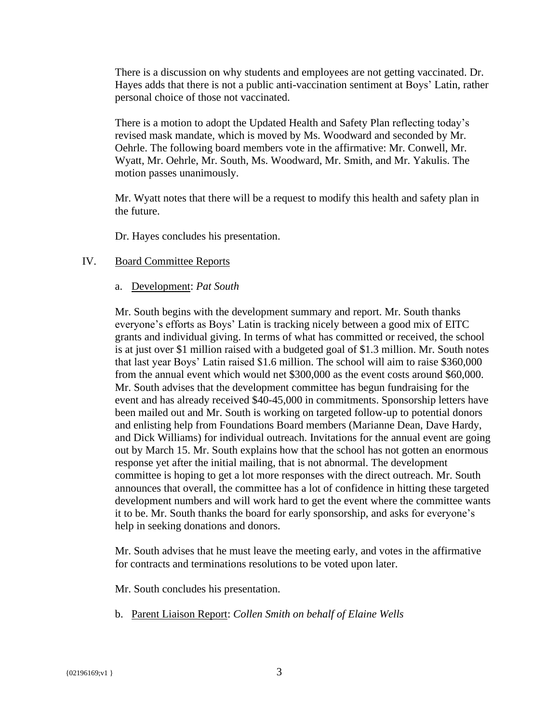There is a discussion on why students and employees are not getting vaccinated. Dr. Hayes adds that there is not a public anti-vaccination sentiment at Boys' Latin, rather personal choice of those not vaccinated.

There is a motion to adopt the Updated Health and Safety Plan reflecting today's revised mask mandate, which is moved by Ms. Woodward and seconded by Mr. Oehrle. The following board members vote in the affirmative: Mr. Conwell, Mr. Wyatt, Mr. Oehrle, Mr. South, Ms. Woodward, Mr. Smith, and Mr. Yakulis. The motion passes unanimously.

Mr. Wyatt notes that there will be a request to modify this health and safety plan in the future.

Dr. Hayes concludes his presentation.

#### IV. Board Committee Reports

#### a. Development: *Pat South*

Mr. South begins with the development summary and report. Mr. South thanks everyone's efforts as Boys' Latin is tracking nicely between a good mix of EITC grants and individual giving. In terms of what has committed or received, the school is at just over \$1 million raised with a budgeted goal of \$1.3 million. Mr. South notes that last year Boys' Latin raised \$1.6 million. The school will aim to raise \$360,000 from the annual event which would net \$300,000 as the event costs around \$60,000. Mr. South advises that the development committee has begun fundraising for the event and has already received \$40-45,000 in commitments. Sponsorship letters have been mailed out and Mr. South is working on targeted follow-up to potential donors and enlisting help from Foundations Board members (Marianne Dean, Dave Hardy, and Dick Williams) for individual outreach. Invitations for the annual event are going out by March 15. Mr. South explains how that the school has not gotten an enormous response yet after the initial mailing, that is not abnormal. The development committee is hoping to get a lot more responses with the direct outreach. Mr. South announces that overall, the committee has a lot of confidence in hitting these targeted development numbers and will work hard to get the event where the committee wants it to be. Mr. South thanks the board for early sponsorship, and asks for everyone's help in seeking donations and donors.

Mr. South advises that he must leave the meeting early, and votes in the affirmative for contracts and terminations resolutions to be voted upon later.

Mr. South concludes his presentation.

b. Parent Liaison Report: *Collen Smith on behalf of Elaine Wells*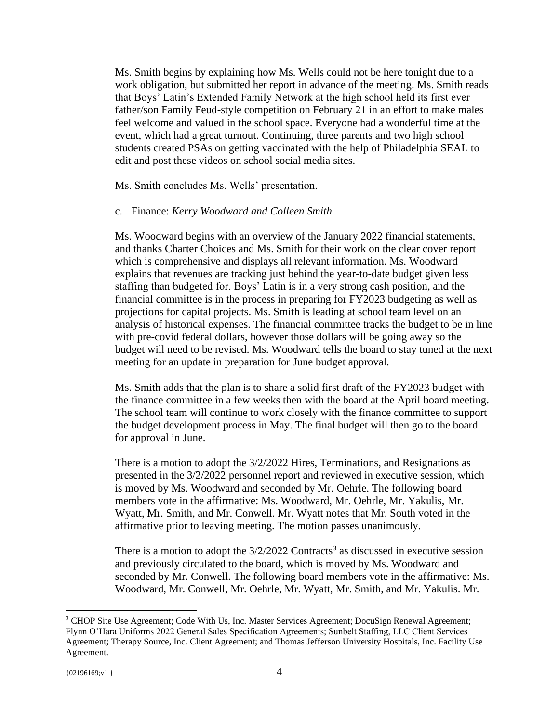Ms. Smith begins by explaining how Ms. Wells could not be here tonight due to a work obligation, but submitted her report in advance of the meeting. Ms. Smith reads that Boys' Latin's Extended Family Network at the high school held its first ever father/son Family Feud-style competition on February 21 in an effort to make males feel welcome and valued in the school space. Everyone had a wonderful time at the event, which had a great turnout. Continuing, three parents and two high school students created PSAs on getting vaccinated with the help of Philadelphia SEAL to edit and post these videos on school social media sites.

Ms. Smith concludes Ms. Wells' presentation.

#### c. Finance: *Kerry Woodward and Colleen Smith*

Ms. Woodward begins with an overview of the January 2022 financial statements, and thanks Charter Choices and Ms. Smith for their work on the clear cover report which is comprehensive and displays all relevant information. Ms. Woodward explains that revenues are tracking just behind the year-to-date budget given less staffing than budgeted for. Boys' Latin is in a very strong cash position, and the financial committee is in the process in preparing for FY2023 budgeting as well as projections for capital projects. Ms. Smith is leading at school team level on an analysis of historical expenses. The financial committee tracks the budget to be in line with pre-covid federal dollars, however those dollars will be going away so the budget will need to be revised. Ms. Woodward tells the board to stay tuned at the next meeting for an update in preparation for June budget approval.

Ms. Smith adds that the plan is to share a solid first draft of the FY2023 budget with the finance committee in a few weeks then with the board at the April board meeting. The school team will continue to work closely with the finance committee to support the budget development process in May. The final budget will then go to the board for approval in June.

There is a motion to adopt the 3/2/2022 Hires, Terminations, and Resignations as presented in the 3/2/2022 personnel report and reviewed in executive session, which is moved by Ms. Woodward and seconded by Mr. Oehrle. The following board members vote in the affirmative: Ms. Woodward, Mr. Oehrle, Mr. Yakulis, Mr. Wyatt, Mr. Smith, and Mr. Conwell. Mr. Wyatt notes that Mr. South voted in the affirmative prior to leaving meeting. The motion passes unanimously.

There is a motion to adopt the  $3/2/2022$  Contracts<sup>3</sup> as discussed in executive session and previously circulated to the board, which is moved by Ms. Woodward and seconded by Mr. Conwell. The following board members vote in the affirmative: Ms. Woodward, Mr. Conwell, Mr. Oehrle, Mr. Wyatt, Mr. Smith, and Mr. Yakulis. Mr.

<sup>&</sup>lt;sup>3</sup> CHOP Site Use Agreement; Code With Us, Inc. Master Services Agreement; DocuSign Renewal Agreement; Flynn O'Hara Uniforms 2022 General Sales Specification Agreements; Sunbelt Staffing, LLC Client Services Agreement; Therapy Source, Inc. Client Agreement; and Thomas Jefferson University Hospitals, Inc. Facility Use Agreement.